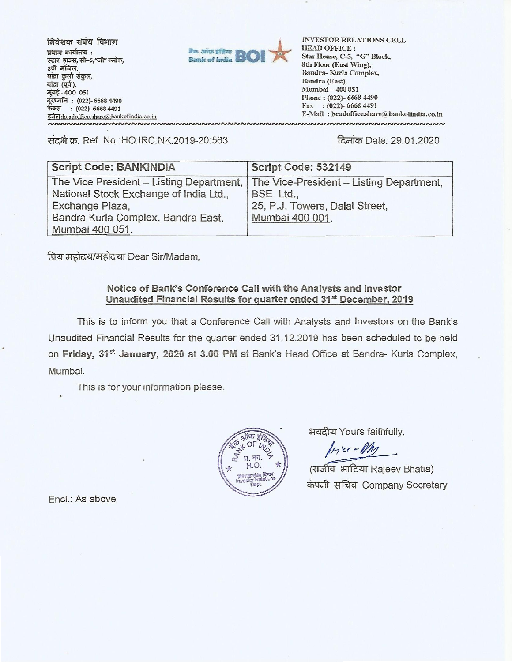निवेशक संबंध विभाग प्रधान कार्यालय: स्टार हाउस, सी-5,"जी" ब्लॉक, 8वी मंजिल, बांद्रा कुर्ला संकुल, बांद्रा (पूर्व), मुंबई - 400 051 दूरध्वनि : (022)- 6668 4490 फेक्स : (022)-6668 4491 इसेल: headoffice.share@bankofindia.co.in ๎<br>๛๛๛๛๛๛๛๛๛๛๛๛๛๛๛๛๛๛๛



**INVESTOR RELATIONS CELL HEAD OFFICE:** Star House, C-5, "G" Block, 8th Floor (East Wing), Bandra-Kurla Complex, Bandra (East), Mumbai - 400 051 Phone: (022)-6668 4490 Fax: (022)-6668 4491 E-Mail: headoffice.share@bankofindia.co.in 

संदर्भ क्र. Ref. No.:HO:IRC:NK:2019-20:563

दिनांक Date: 29.01.2020

| <b>Script Code: BANKINDIA</b>                                                                                                                                  | Script Code: 532149                                                                                        |
|----------------------------------------------------------------------------------------------------------------------------------------------------------------|------------------------------------------------------------------------------------------------------------|
| The Vice President - Listing Department,<br>National Stock Exchange of India Ltd.,<br>Exchange Plaza,<br>Bandra Kurla Complex, Bandra East,<br>Mumbai 400 051. | The Vice-President – Listing Department,<br>BSE Ltd.,<br>25, P.J. Towers, Dalal Street,<br>Mumbai 400 001. |

प्रिय महोदय/महोदया Dear Sir/Madam,

## Notice of Bank's Conference Call with the Analysts and Investor Unaudited Financial Results for quarter ended 31<sup>st</sup> December, 2019

This is to inform you that a Conference Call with Analysts and Investors on the Bank's Unaudited Financial Results for the quarter ended 31.12.2019 has been scheduled to be held on Friday, 31<sup>st</sup> January, 2020 at 3.00 PM at Bank's Head Office at Bandra- Kurla Complex, Mumbai.

This is for your information please.



भवदीय Yours faithfully,

byce-My

(राजीव भाटिया Rajeev Bhatia) कंपनी सचिव Company Secretary

Encl.: As above